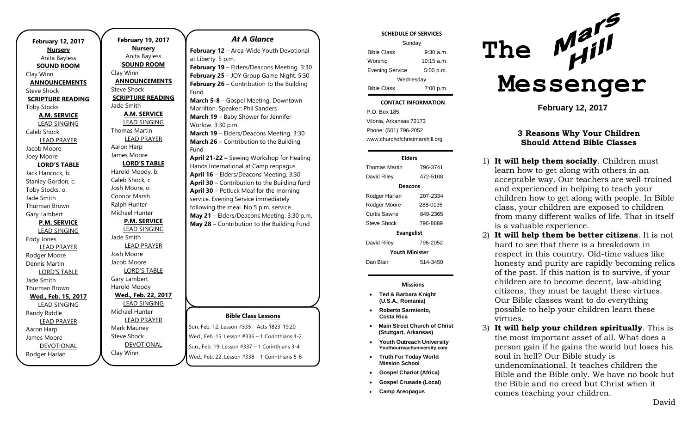| <b>February 12, 2017</b>           |  |  |
|------------------------------------|--|--|
| <b>Nursery</b><br>Anita Bayless    |  |  |
| <b>SOUND ROOM</b>                  |  |  |
| Clay Winn                          |  |  |
| <b>ANNOUNCEMENTS</b>               |  |  |
| <b>Steve Shock</b>                 |  |  |
| <b>SCRIPTURE READING</b>           |  |  |
| <b>Toby Stocks</b>                 |  |  |
| <b>A.M. SERVICE</b>                |  |  |
| <b>LEAD SINGING</b>                |  |  |
| Caleb Shock                        |  |  |
| <b>LEAD PRAYER</b>                 |  |  |
| Jacob Moore                        |  |  |
| Joey Moore                         |  |  |
| <b>LORD'S TABLE</b>                |  |  |
| Jack Hancock, b.                   |  |  |
| Stanley Gordon, c.                 |  |  |
| Toby Stocks, o.                    |  |  |
| Jade Smith                         |  |  |
| Thurman Brown                      |  |  |
| Gary Lambert                       |  |  |
| <b>P.M. SERVICE</b>                |  |  |
| <b>LEAD SINGING</b>                |  |  |
| Eddy Jones                         |  |  |
| <b>LEAD PRAYER</b>                 |  |  |
| Rodger Moore                       |  |  |
| Dennis Martin                      |  |  |
| <b>LORD'S TABLE</b>                |  |  |
| Jade Smith                         |  |  |
| Thurman Brown                      |  |  |
| Wed., Feb. 15, 2017                |  |  |
| <b>LEAD SINGING</b>                |  |  |
| Randy Riddle                       |  |  |
| <b>LEAD PRAYER</b>                 |  |  |
| Aaron Harp                         |  |  |
| James Moore                        |  |  |
| <b>DEVOTIONAL</b><br>Rodger Harlan |  |  |
|                                    |  |  |

**February 19, 2017 Nursery** Anita Bayless **SOUND ROOM** Clay Winn **ANNOUNCEMENTS** Steve Shock **SCRIPTURE READING** Jade Smith **A.M. SERVICE** LEAD SINGING Thomas Martin LEAD PRAYER Aaron Harp James Moore **LORD'S TABLE** Harold Moody, b. Caleb Shock, c. Josh Moore, o. Connor Marsh Ralph Hunter Michael Hunter **P.M. SERVICE** LEAD SINGING Jade Smith LEAD PRAYER Josh Moore Jacob Moore LORD'S TABLE Gary Lambert Harold Moody **Wed., Feb. 22, 2017** LEAD SINGING Michael Hunter LEAD PRAYER Mark Mauney Steve Shock DEVOTIONAL

Clay Winn

# *At A Glance*  **February 12** – Area-Wide Youth Devotional

at Liberty. 5 p.m. February 19 - Elders/Deacons Meeting. 3:30 **February 25** – JOY Group Game Night. 5:30 **February 26** – Contribution to the Building Fund

**March 5-8** – Gospel Meeting. Downtown Morrilton. Speaker: Phil Sanders **March 19** – Baby Shower for Jennifer Worlow. 3:30 p.m. **March 19** – Elders/Deacons Meeting. 3:30 **March 26** – Contribution to the Building Fund

**April 21-22 –** Sewing Workshop for Healing Hands International at Camp reopagus **April 16** – Elders/Deacons Meeting. 3:30 **April 30** – Contribution to the Building fund **April 30** – Potluck Meal for the morning service. Evening Service immediately following the meal. No 5 p.m. service. **May 21** – Elders/Deacons Meeting. 3:30 p.m. **May 28** – Contribution to the Building Fund

#### **Bible Class Lessons**

Sun, Feb. 12: Lesson #335 – Acts 1823-19:20 Wed., Feb. 15: Lesson #336 – 1 Corinthians 1-2 Sun., Feb. 19: Lesson #337 – 1 Corinthians 3-4 Wed., Feb. 22: Lesson #338 – 1 Corinthians 5-6

#### **SCHEDULE OF SERVICES**

| Sunday                 |              |  |
|------------------------|--------------|--|
| <b>Bible Class</b>     | $9:30$ a.m.  |  |
| Worship                | $10:15$ a.m. |  |
| <b>Evening Service</b> | 5:00 p.m.    |  |
| Wednesday              |              |  |
| <b>Bible Class</b>     | 7:00 p.m.    |  |

#### Tuesday **CONTACT INFORMATION**

. .o. Bex 166<br>Vilonia, Arkansas 72173 P.O. Box 185 Phone: (501) 796-2052 www.churchofchristmarshill.org

#### **Elders**

Thomas Martin 796-3741 David Riley 472-5108 **Deacons** Rodger Harlan 207-2334 Rodger Moore 288-0135 Curtis Sawrie 849-2365 Steve Shock 796-8889 **Evangelist** David Riley 796-2052 **Youth Minister** Dan Blair 514-3450

**Missions**

- **Ted & Barbara Knight (U.S.A., Romania)**
- **Roberto Sarmiento, Costa Rica**
- **Main Street Church of Christ (Stuttgart, Arkansas)**
- **Youth Outreach University Youthourreachuniversity.com**
- **Truth For Today World Mission School**
- **Gospel Chariot (Africa)**
- **Gospel Crusade (Local)**
- **Camp Areopagus**



**February 12, 2017**

## **3 Reasons Why Your Children Should Attend Bible Classes**

- 1) **It will help them socially**. Children must learn how to get along with others in an acceptable way. Our teachers are well-trained and experienced in helping to teach your children how to get along with people. In Bible class, your children are exposed to children from many different walks of life. That in itself is a valuable experience.
- 2) **It will help them be better citizens**. It is not hard to see that there is a breakdown in respect in this country. Old-time values like honesty and purity are rapidly becoming relics of the past. If this nation is to survive, if your children are to become decent, law-abiding citizens, they must be taught these virtues. Our Bible classes want to do everything possible to help your children learn these virtues.
- 3) **It will help your children spiritually**. This is the most important asset of all. What does a person gain if he gains the world but loses his soul in hell? Our Bible study is undenominational. It teaches children the Bible and the Bible only. We have no book but the Bible and no creed but Christ when it comes teaching your children.